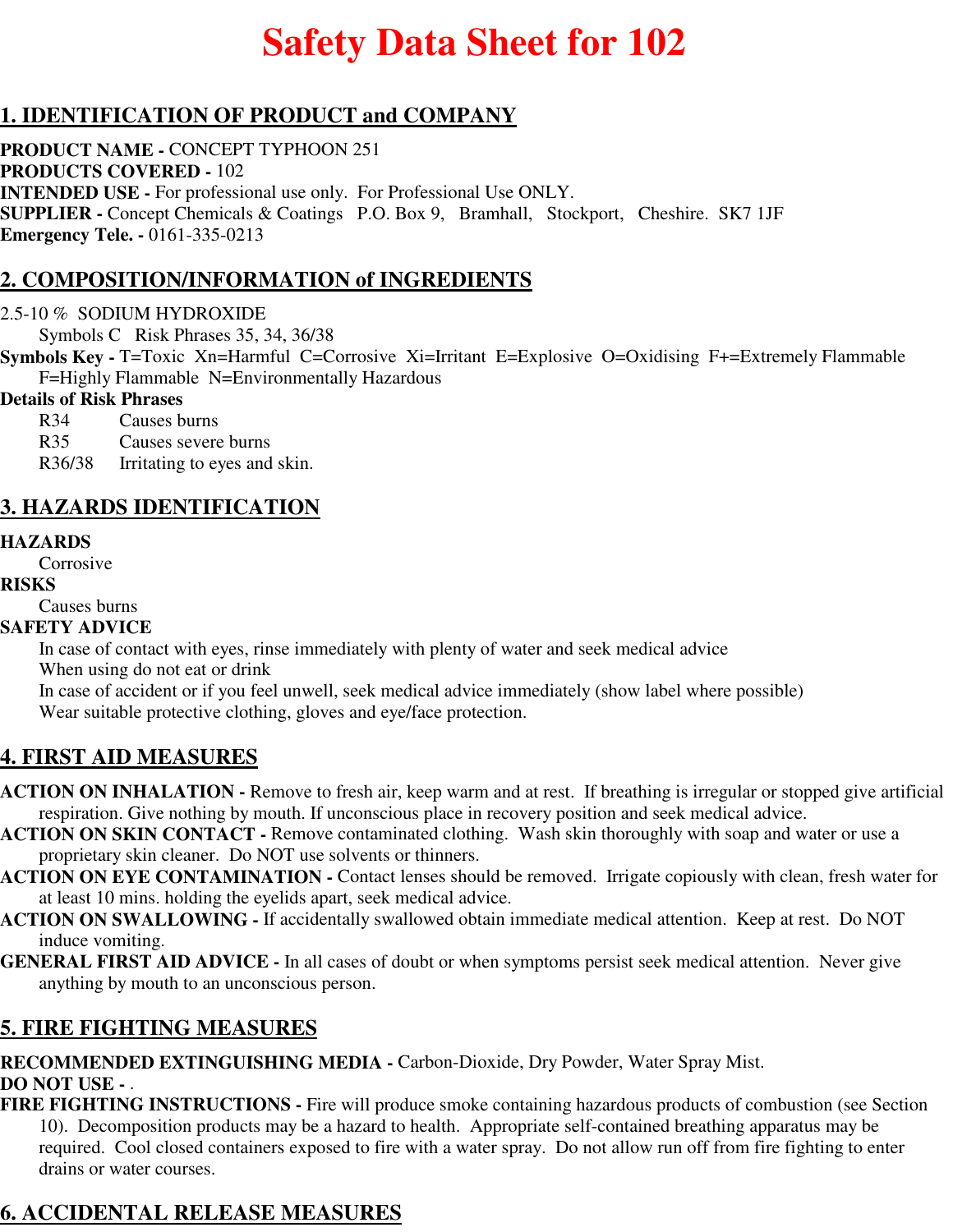# **Safety Data Sheet for 102**

# **1. IDENTIFICATION OF PRODUCT and COMPANY**

**PRODUCT NAME -** CONCEPT TYPHOON 251 **PRODUCTS COVERED -** 102 **INTENDED USE -** For professional use only. For Professional Use ONLY. **SUPPLIER -** Concept Chemicals & Coatings P.O. Box 9, Bramhall, Stockport, Cheshire. SK7 1JF **Emergency Tele. -** 0161-335-0213

## **2. COMPOSITION/INFORMATION of INGREDIENTS**

#### 2.5-10 % SODIUM HYDROXIDE

Symbols C Risk Phrases 35, 34, 36/38

**Symbols Key -** T=Toxic Xn=Harmful C=Corrosive Xi=Irritant E=Explosive O=Oxidising F+=Extremely Flammable F=Highly Flammable N=Environmentally Hazardous

#### **Details of Risk Phrases**

R34 Causes burns

R35 Causes severe burns

R36/38 Irritating to eyes and skin.

## **3. HAZARDS IDENTIFICATION**

#### **HAZARDS**

Corrosive

#### **RISKS**

Causes burns

#### **SAFETY ADVICE**

In case of contact with eyes, rinse immediately with plenty of water and seek medical advice

When using do not eat or drink

In case of accident or if you feel unwell, seek medical advice immediately (show label where possible) Wear suitable protective clothing, gloves and eye/face protection.

## **4. FIRST AID MEASURES**

- **ACTION ON INHALATION** Remove to fresh air, keep warm and at rest. If breathing is irregular or stopped give artificial respiration. Give nothing by mouth. If unconscious place in recovery position and seek medical advice.
- **ACTION ON SKIN CONTACT** Remove contaminated clothing. Wash skin thoroughly with soap and water or use a proprietary skin cleaner. Do NOT use solvents or thinners.
- **ACTION ON EYE CONTAMINATION** Contact lenses should be removed. Irrigate copiously with clean, fresh water for at least 10 mins. holding the eyelids apart, seek medical advice.
- **ACTION ON SWALLOWING** If accidentally swallowed obtain immediate medical attention. Keep at rest. Do NOT induce vomiting.
- **GENERAL FIRST AID ADVICE** In all cases of doubt or when symptoms persist seek medical attention. Never give anything by mouth to an unconscious person.

# **5. FIRE FIGHTING MEASURES**

**RECOMMENDED EXTINGUISHING MEDIA -** Carbon-Dioxide, Dry Powder, Water Spray Mist. **DO NOT USE -** .

**FIRE FIGHTING INSTRUCTIONS -** Fire will produce smoke containing hazardous products of combustion (see Section 10). Decomposition products may be a hazard to health. Appropriate self-contained breathing apparatus may be required. Cool closed containers exposed to fire with a water spray. Do not allow run off from fire fighting to enter drains or water courses.

# **6. ACCIDENTAL RELEASE MEASURES**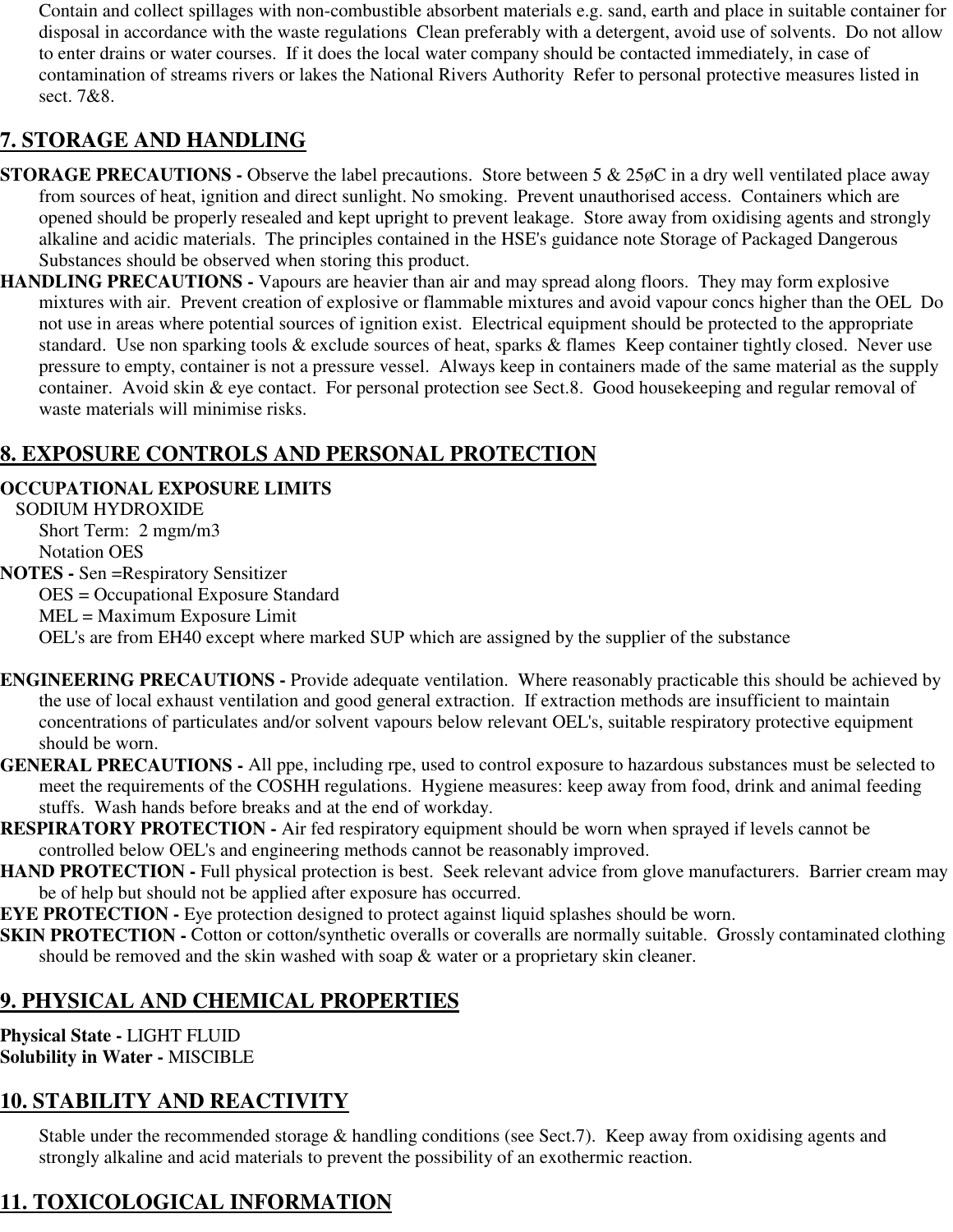Contain and collect spillages with non-combustible absorbent materials e.g. sand, earth and place in suitable container for disposal in accordance with the waste regulations Clean preferably with a detergent, avoid use of solvents. Do not allow to enter drains or water courses. If it does the local water company should be contacted immediately, in case of contamination of streams rivers or lakes the National Rivers Authority Refer to personal protective measures listed in sect. 7&8.

# **7. STORAGE AND HANDLING**

- **STORAGE PRECAUTIONS -** Observe the label precautions. Store between 5 & 25 $\phi$ C in a dry well ventilated place away from sources of heat, ignition and direct sunlight. No smoking. Prevent unauthorised access. Containers which are opened should be properly resealed and kept upright to prevent leakage. Store away from oxidising agents and strongly alkaline and acidic materials. The principles contained in the HSE's guidance note Storage of Packaged Dangerous Substances should be observed when storing this product.
- **HANDLING PRECAUTIONS** Vapours are heavier than air and may spread along floors. They may form explosive mixtures with air. Prevent creation of explosive or flammable mixtures and avoid vapour concs higher than the OEL Do not use in areas where potential sources of ignition exist. Electrical equipment should be protected to the appropriate standard. Use non sparking tools & exclude sources of heat, sparks & flames Keep container tightly closed. Never use pressure to empty, container is not a pressure vessel. Always keep in containers made of the same material as the supply container. Avoid skin & eye contact. For personal protection see Sect.8. Good housekeeping and regular removal of waste materials will minimise risks.

# **8. EXPOSURE CONTROLS AND PERSONAL PROTECTION**

## **OCCUPATIONAL EXPOSURE LIMITS**

SODIUM HYDROXIDE Short Term: 2 mgm/m3 Notation OES

**NOTES -** Sen =Respiratory Sensitizer

OES = Occupational Exposure Standard

MEL = Maximum Exposure Limit

OEL's are from EH40 except where marked SUP which are assigned by the supplier of the substance

- **ENGINEERING PRECAUTIONS** Provide adequate ventilation. Where reasonably practicable this should be achieved by the use of local exhaust ventilation and good general extraction. If extraction methods are insufficient to maintain concentrations of particulates and/or solvent vapours below relevant OEL's, suitable respiratory protective equipment should be worn.
- **GENERAL PRECAUTIONS** All ppe, including rpe, used to control exposure to hazardous substances must be selected to meet the requirements of the COSHH regulations. Hygiene measures: keep away from food, drink and animal feeding stuffs. Wash hands before breaks and at the end of workday.
- **RESPIRATORY PROTECTION** Air fed respiratory equipment should be worn when sprayed if levels cannot be controlled below OEL's and engineering methods cannot be reasonably improved.
- **HAND PROTECTION Full physical protection is best. Seek relevant advice from glove manufacturers. Barrier cream may** be of help but should not be applied after exposure has occurred.

**EYE PROTECTION -** Eye protection designed to protect against liquid splashes should be worn.

**SKIN PROTECTION -** Cotton or cotton/synthetic overalls or coveralls are normally suitable. Grossly contaminated clothing should be removed and the skin washed with soap & water or a proprietary skin cleaner.

# **9. PHYSICAL AND CHEMICAL PROPERTIES**

**Physical State -** LIGHT FLUID **Solubility in Water -** MISCIBLE

# **10. STABILITY AND REACTIVITY**

Stable under the recommended storage & handling conditions (see Sect.7). Keep away from oxidising agents and strongly alkaline and acid materials to prevent the possibility of an exothermic reaction.

# **11. TOXICOLOGICAL INFORMATION**